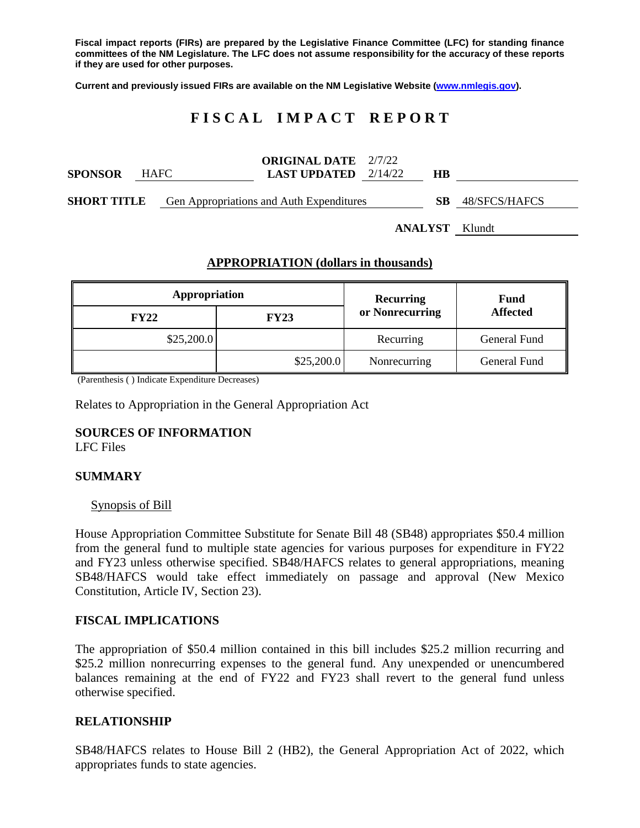**Fiscal impact reports (FIRs) are prepared by the Legislative Finance Committee (LFC) for standing finance committees of the NM Legislature. The LFC does not assume responsibility for the accuracy of these reports if they are used for other purposes.**

**Current and previously issued FIRs are available on the NM Legislative Website [\(www.nmlegis.gov\)](http://www.nmlegis.gov/).**

# **F I S C A L I M P A C T R E P O R T**

| <b>SPONSOR</b>     | <b>HAFC</b> | <b>ORIGINAL DATE</b> 2/7/22<br><b>LAST UPDATED</b> $2/14/22$ | HВ |               |
|--------------------|-------------|--------------------------------------------------------------|----|---------------|
| <b>SHORT TITLE</b> |             | Gen Appropriations and Auth Expenditures                     | SВ | 48/SFCS/HAFCS |

**ANALYST** Klundt

### **APPROPRIATION (dollars in thousands)**

| Appropriation |             | Recurring       | <b>Fund</b><br><b>Affected</b> |  |
|---------------|-------------|-----------------|--------------------------------|--|
| <b>FY22</b>   | <b>FY23</b> | or Nonrecurring |                                |  |
| \$25,200.0    |             | Recurring       | General Fund                   |  |
|               | \$25,200.0  | Nonrecurring    | General Fund                   |  |

(Parenthesis ( ) Indicate Expenditure Decreases)

Relates to Appropriation in the General Appropriation Act

### **SOURCES OF INFORMATION**

LFC Files

#### **SUMMARY**

#### Synopsis of Bill

House Appropriation Committee Substitute for Senate Bill 48 (SB48) appropriates \$50.4 million from the general fund to multiple state agencies for various purposes for expenditure in FY22 and FY23 unless otherwise specified. SB48/HAFCS relates to general appropriations, meaning SB48/HAFCS would take effect immediately on passage and approval (New Mexico Constitution, Article IV, Section 23).

#### **FISCAL IMPLICATIONS**

The appropriation of \$50.4 million contained in this bill includes \$25.2 million recurring and \$25.2 million nonrecurring expenses to the general fund. Any unexpended or unencumbered balances remaining at the end of FY22 and FY23 shall revert to the general fund unless otherwise specified.

#### **RELATIONSHIP**

SB48/HAFCS relates to House Bill 2 (HB2), the General Appropriation Act of 2022, which appropriates funds to state agencies.